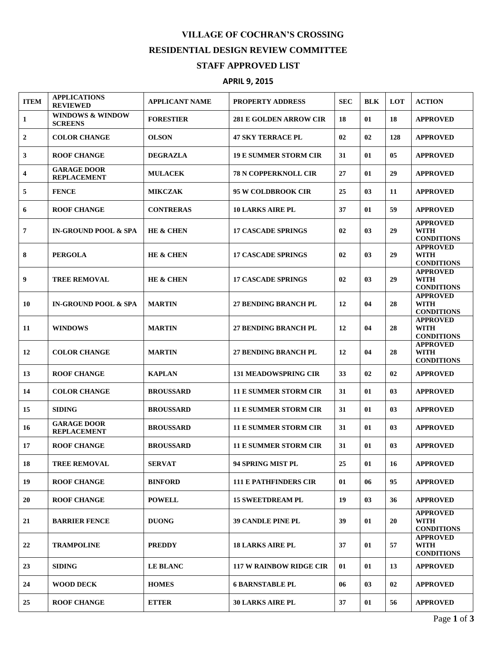## **VILLAGE OF COCHRAN'S CROSSING RESIDENTIAL DESIGN REVIEW COMMITTEE STAFF APPROVED LIST**

## **APRIL 9, 2015**

| <b>ITEM</b>             | <b>APPLICATIONS</b><br><b>REVIEWED</b>        | <b>APPLICANT NAME</b> | <b>PROPERTY ADDRESS</b>        | <b>SEC</b> | <b>BLK</b> | LOT | <b>ACTION</b>                                       |
|-------------------------|-----------------------------------------------|-----------------------|--------------------------------|------------|------------|-----|-----------------------------------------------------|
| 1                       | <b>WINDOWS &amp; WINDOW</b><br><b>SCREENS</b> | <b>FORESTIER</b>      | <b>281 E GOLDEN ARROW CIR</b>  | 18         | 01         | 18  | <b>APPROVED</b>                                     |
| $\mathbf{2}$            | <b>COLOR CHANGE</b>                           | <b>OLSON</b>          | <b>47 SKY TERRACE PL</b>       | 02         | 02         | 128 | <b>APPROVED</b>                                     |
| 3                       | <b>ROOF CHANGE</b>                            | <b>DEGRAZLA</b>       | <b>19 E SUMMER STORM CIR</b>   | 31         | 01         | 05  | <b>APPROVED</b>                                     |
| $\overline{\mathbf{4}}$ | <b>GARAGE DOOR</b><br><b>REPLACEMENT</b>      | <b>MULACEK</b>        | <b>78 N COPPERKNOLL CIR</b>    | 27         | 01         | 29  | <b>APPROVED</b>                                     |
| 5                       | <b>FENCE</b>                                  | <b>MIKCZAK</b>        | <b>95 W COLDBROOK CIR</b>      | 25         | 03         | 11  | <b>APPROVED</b>                                     |
| 6                       | <b>ROOF CHANGE</b>                            | <b>CONTRERAS</b>      | <b>10 LARKS AIRE PL</b>        | 37         | 01         | 59  | <b>APPROVED</b>                                     |
| $\overline{7}$          | <b>IN-GROUND POOL &amp; SPA</b>               | <b>HE &amp; CHEN</b>  | <b>17 CASCADE SPRINGS</b>      | 02         | 03         | 29  | <b>APPROVED</b><br><b>WITH</b><br><b>CONDITIONS</b> |
| 8                       | <b>PERGOLA</b>                                | <b>HE &amp; CHEN</b>  | <b>17 CASCADE SPRINGS</b>      | 02         | 03         | 29  | <b>APPROVED</b><br><b>WITH</b><br><b>CONDITIONS</b> |
| 9                       | <b>TREE REMOVAL</b>                           | <b>HE &amp; CHEN</b>  | <b>17 CASCADE SPRINGS</b>      | 02         | 03         | 29  | <b>APPROVED</b><br><b>WITH</b><br><b>CONDITIONS</b> |
| 10                      | <b>IN-GROUND POOL &amp; SPA</b>               | <b>MARTIN</b>         | <b>27 BENDING BRANCH PL</b>    | 12         | 04         | 28  | <b>APPROVED</b><br><b>WITH</b><br><b>CONDITIONS</b> |
| 11                      | <b>WINDOWS</b>                                | <b>MARTIN</b>         | 27 BENDING BRANCH PL           | 12         | 04         | 28  | <b>APPROVED</b><br><b>WITH</b><br><b>CONDITIONS</b> |
| 12                      | <b>COLOR CHANGE</b>                           | <b>MARTIN</b>         | <b>27 BENDING BRANCH PL</b>    | 12         | 04         | 28  | <b>APPROVED</b><br><b>WITH</b><br><b>CONDITIONS</b> |
| 13                      | <b>ROOF CHANGE</b>                            | <b>KAPLAN</b>         | <b>131 MEADOWSPRING CIR</b>    | 33         | 02         | 02  | <b>APPROVED</b>                                     |
| 14                      | <b>COLOR CHANGE</b>                           | <b>BROUSSARD</b>      | <b>11 E SUMMER STORM CIR</b>   | 31         | 01         | 03  | <b>APPROVED</b>                                     |
| 15                      | <b>SIDING</b>                                 | <b>BROUSSARD</b>      | <b>11 E SUMMER STORM CIR</b>   | 31         | 01         | 03  | <b>APPROVED</b>                                     |
| 16                      | <b>GARAGE DOOR</b><br><b>REPLACEMENT</b>      | <b>BROUSSARD</b>      | <b>11 E SUMMER STORM CIR</b>   | 31         | 01         | 03  | <b>APPROVED</b>                                     |
| 17                      | <b>ROOF CHANGE</b>                            | <b>BROUSSARD</b>      | <b>11 E SUMMER STORM CIR</b>   | 31         | 01         | 03  | <b>APPROVED</b>                                     |
| 18                      | <b>TREE REMOVAL</b>                           | <b>SERVAT</b>         | 94 SPRING MIST PL              | 25         | 01         | 16  | <b>APPROVED</b>                                     |
| 19                      | <b>ROOF CHANGE</b>                            | <b>BINFORD</b>        | <b>111 E PATHFINDERS CIR</b>   | 01         | 06         | 95  | <b>APPROVED</b>                                     |
| 20                      | <b>ROOF CHANGE</b>                            | <b>POWELL</b>         | <b>15 SWEETDREAM PL</b>        | 19         | 03         | 36  | <b>APPROVED</b>                                     |
| 21                      | <b>BARRIER FENCE</b>                          | <b>DUONG</b>          | <b>39 CANDLE PINE PL</b>       | 39         | 01         | 20  | <b>APPROVED</b><br><b>WITH</b><br><b>CONDITIONS</b> |
| 22                      | <b>TRAMPOLINE</b>                             | <b>PREDDY</b>         | <b>18 LARKS AIRE PL</b>        | 37         | 01         | 57  | <b>APPROVED</b><br><b>WITH</b><br><b>CONDITIONS</b> |
| 23                      | <b>SIDING</b>                                 | <b>LE BLANC</b>       | <b>117 W RAINBOW RIDGE CIR</b> | 01         | 01         | 13  | <b>APPROVED</b>                                     |
| 24                      | <b>WOOD DECK</b>                              | <b>HOMES</b>          | <b>6 BARNSTABLE PL</b>         | 06         | 03         | 02  | <b>APPROVED</b>                                     |
| 25                      | <b>ROOF CHANGE</b>                            | <b>ETTER</b>          | <b>30 LARKS AIRE PL</b>        | 37         | 01         | 56  | <b>APPROVED</b>                                     |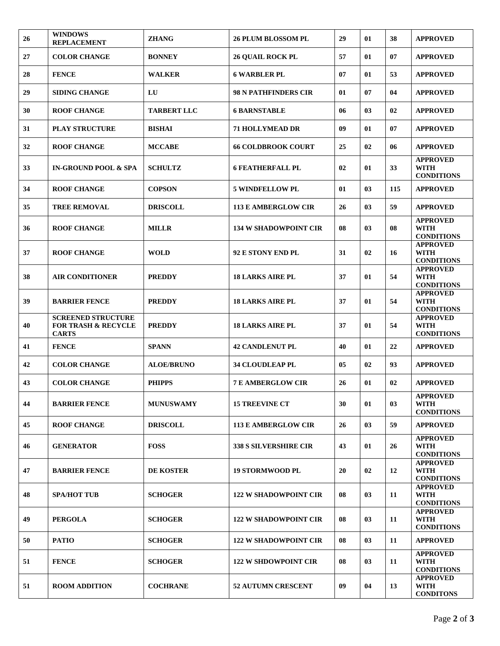| 26 | <b>WINDOWS</b><br><b>REPLACEMENT</b>                                        | <b>ZHANG</b>       | <b>26 PLUM BLOSSOM PL</b>    | 29 | 01 | 38  | <b>APPROVED</b>                                     |
|----|-----------------------------------------------------------------------------|--------------------|------------------------------|----|----|-----|-----------------------------------------------------|
| 27 | <b>COLOR CHANGE</b>                                                         | <b>BONNEY</b>      | <b>26 QUAIL ROCK PL</b>      | 57 | 01 | 07  | <b>APPROVED</b>                                     |
| 28 | <b>FENCE</b>                                                                | <b>WALKER</b>      | <b>6 WARBLER PL</b>          | 07 | 01 | 53  | <b>APPROVED</b>                                     |
| 29 | <b>SIDING CHANGE</b>                                                        | LU                 | <b>98 N PATHFINDERS CIR</b>  | 01 | 07 | 04  | <b>APPROVED</b>                                     |
| 30 | <b>ROOF CHANGE</b>                                                          | <b>TARBERT LLC</b> | <b>6 BARNSTABLE</b>          | 06 | 03 | 02  | <b>APPROVED</b>                                     |
| 31 | <b>PLAY STRUCTURE</b>                                                       | <b>BISHAI</b>      | <b>71 HOLLYMEAD DR</b>       | 09 | 01 | 07  | <b>APPROVED</b>                                     |
| 32 | <b>ROOF CHANGE</b>                                                          | <b>MCCABE</b>      | <b>66 COLDBROOK COURT</b>    | 25 | 02 | 06  | <b>APPROVED</b>                                     |
| 33 | <b>IN-GROUND POOL &amp; SPA</b>                                             | <b>SCHULTZ</b>     | <b>6 FEATHERFALL PL</b>      | 02 | 01 | 33  | <b>APPROVED</b><br><b>WITH</b><br><b>CONDITIONS</b> |
| 34 | <b>ROOF CHANGE</b>                                                          | <b>COPSON</b>      | <b>5 WINDFELLOW PL</b>       | 01 | 03 | 115 | <b>APPROVED</b>                                     |
| 35 | <b>TREE REMOVAL</b>                                                         | <b>DRISCOLL</b>    | <b>113 E AMBERGLOW CIR</b>   | 26 | 03 | 59  | <b>APPROVED</b>                                     |
| 36 | <b>ROOF CHANGE</b>                                                          | <b>MILLR</b>       | <b>134 W SHADOWPOINT CIR</b> | 08 | 03 | 08  | <b>APPROVED</b><br><b>WITH</b><br><b>CONDITIONS</b> |
| 37 | <b>ROOF CHANGE</b>                                                          | <b>WOLD</b>        | 92 E STONY END PL            | 31 | 02 | 16  | <b>APPROVED</b><br><b>WITH</b><br><b>CONDITIONS</b> |
| 38 | <b>AIR CONDITIONER</b>                                                      | <b>PREDDY</b>      | <b>18 LARKS AIRE PL</b>      | 37 | 01 | 54  | <b>APPROVED</b><br><b>WITH</b><br><b>CONDITIONS</b> |
| 39 | <b>BARRIER FENCE</b>                                                        | <b>PREDDY</b>      | <b>18 LARKS AIRE PL</b>      | 37 | 01 | 54  | <b>APPROVED</b><br><b>WITH</b><br><b>CONDITIONS</b> |
|    |                                                                             |                    |                              |    |    |     |                                                     |
| 40 | <b>SCREENED STRUCTURE</b><br><b>FOR TRASH &amp; RECYCLE</b><br><b>CARTS</b> | <b>PREDDY</b>      | <b>18 LARKS AIRE PL</b>      | 37 | 01 | 54  | <b>APPROVED</b><br><b>WITH</b><br><b>CONDITIONS</b> |
| 41 | <b>FENCE</b>                                                                | <b>SPANN</b>       | <b>42 CANDLENUT PL</b>       | 40 | 01 | 22  | <b>APPROVED</b>                                     |
| 42 | <b>COLOR CHANGE</b>                                                         | <b>ALOE/BRUNO</b>  | <b>34 CLOUDLEAP PL</b>       | 05 | 02 | 93  | <b>APPROVED</b>                                     |
| 43 | <b>COLOR CHANGE</b>                                                         | <b>PHIPPS</b>      | <b>7 E AMBERGLOW CIR</b>     | 26 | 01 | 02  | <b>APPROVED</b>                                     |
| 44 | <b>BARRIER FENCE</b>                                                        | <b>MUNUSWAMY</b>   | <b>15 TREEVINE CT</b>        | 30 | 01 | 03  | <b>APPROVED</b><br>WITH<br><b>CONDITIONS</b>        |
| 45 | <b>ROOF CHANGE</b>                                                          | <b>DRISCOLL</b>    | <b>113 E AMBERGLOW CIR</b>   | 26 | 03 | 59  | <b>APPROVED</b>                                     |
| 46 | <b>GENERATOR</b>                                                            | <b>FOSS</b>        | <b>338 S SILVERSHIRE CIR</b> | 43 | 01 | 26  | <b>APPROVED</b><br><b>WITH</b><br><b>CONDITIONS</b> |
| 47 | <b>BARRIER FENCE</b>                                                        | DE KOSTER          | <b>19 STORMWOOD PL</b>       | 20 | 02 | 12  | <b>APPROVED</b><br><b>WITH</b><br><b>CONDITIONS</b> |
| 48 | <b>SPA/HOT TUB</b>                                                          | <b>SCHOGER</b>     | <b>122 W SHADOWPOINT CIR</b> | 08 | 03 | 11  | <b>APPROVED</b><br>WITH<br><b>CONDITIONS</b>        |
| 49 | <b>PERGOLA</b>                                                              | <b>SCHOGER</b>     | <b>122 W SHADOWPOINT CIR</b> | 08 | 03 | 11  | <b>APPROVED</b><br>WITH<br><b>CONDITIONS</b>        |
| 50 | <b>PATIO</b>                                                                | <b>SCHOGER</b>     | <b>122 W SHADOWPOINT CIR</b> | 08 | 03 | 11  | <b>APPROVED</b>                                     |
| 51 | <b>FENCE</b>                                                                | <b>SCHOGER</b>     | <b>122 W SHDOWPOINT CIR</b>  | 08 | 03 | 11  | <b>APPROVED</b><br><b>WITH</b><br><b>CONDITIONS</b> |